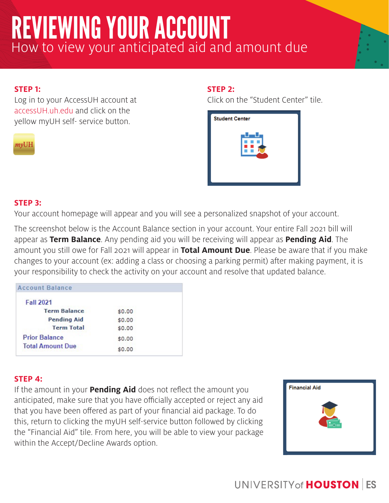# REVIEWING YOUR ACCOUNT How to view your anticipated aid and amount due

### **STEP 1:**

Log in to your AccessUH account at accessUH.uh.edu and click on the yellow myUH self- service button.

 $myUH$ 

### **STEP 2:**

Click on the "Student Center" tile.



#### **STEP 3:**

Your account homepage will appear and you will see a personalized snapshot of your account.

The screenshot below is the Account Balance section in your account. Your entire Fall 2021 bill will appear as **Term Balance**. Any pending aid you will be receiving will appear as **Pending Aid**. The amount you still owe for Fall 2021 will appear in **Total Amount Due**. Please be aware that if you make changes to your account (ex: adding a class or choosing a parking permit) after making payment, it is your responsibility to check the activity on your account and resolve that updated balance.

| <b>Account Balance</b>  |        |  |
|-------------------------|--------|--|
| <b>Fall 2021</b>        |        |  |
| <b>Term Balance</b>     | \$0.00 |  |
| <b>Pending Aid</b>      | \$0.00 |  |
| <b>Term Total</b>       | \$0.00 |  |
| <b>Prior Balance</b>    | \$0.00 |  |
| <b>Total Amount Due</b> | \$0.00 |  |

### **STEP 4:**

If the amount in your **Pending Aid** does not reflect the amount you anticipated, make sure that you have officially accepted or reject any aid that you have been offered as part of your financial aid package. To do this, return to clicking the myUH self-service button followed by clicking the "Financial Aid" tile. From here, you will be able to view your package within the Accept/Decline Awards option.